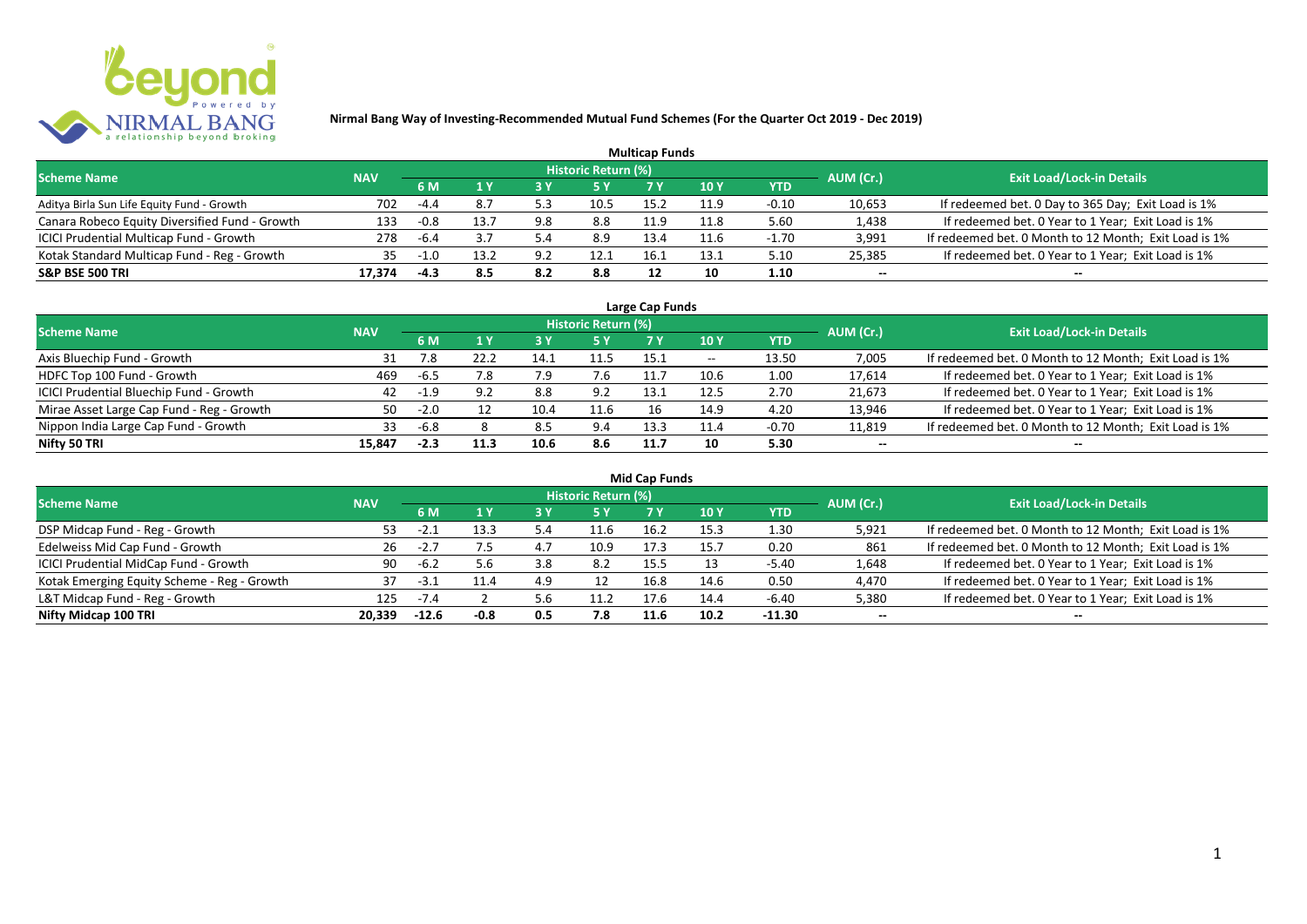

| <b>Multicap Funds</b>                          |            |        |      |     |                     |      |      |         |           |                                                       |  |  |  |
|------------------------------------------------|------------|--------|------|-----|---------------------|------|------|---------|-----------|-------------------------------------------------------|--|--|--|
| <b>Scheme Name</b>                             | <b>NAV</b> |        |      |     | Historic Return (%) |      |      |         | AUM (Cr.) | <b>Exit Load/Lock-in Details</b>                      |  |  |  |
|                                                |            | 6 M    |      |     |                     |      | 10 Y | YTD     |           |                                                       |  |  |  |
| Aditya Birla Sun Life Equity Fund - Growth     | 702        | -4.4   | 8.7  | 5.3 | 10.5                | 15.2 | 11.9 | $-0.10$ | 10,653    | If redeemed bet. 0 Day to 365 Day; Exit Load is 1%    |  |  |  |
| Canara Robeco Equity Diversified Fund - Growth | 133        | -0.8   | 13.7 | 9.8 | 8.8                 | 11.9 | 11.8 | 5.60    | 1,438     | If redeemed bet. 0 Year to 1 Year; Exit Load is 1%    |  |  |  |
| ICICI Prudential Multicap Fund - Growth        | 278        | -6.4   |      | 5.4 | 8.9                 | 13.4 |      | -1.70   | 3,991     | If redeemed bet. 0 Month to 12 Month; Exit Load is 1% |  |  |  |
| Kotak Standard Multicap Fund - Reg - Growth    | 35         | $-1.0$ | 13.2 | 9.7 | 12.1                | 16.1 | 13.1 | 5.10    | 25,385    | If redeemed bet. 0 Year to 1 Year; Exit Load is 1%    |  |  |  |
| <b>S&amp;P BSE 500 TRI</b>                     | 17.374     | -4.3   | 8.5  | 8.2 | 8.8                 |      | 10   | 1.10    | --        | $- -$                                                 |  |  |  |

| Large Cap Funds                           |            |           |      |      |                            |      |                          |         |           |                                                       |  |  |  |
|-------------------------------------------|------------|-----------|------|------|----------------------------|------|--------------------------|---------|-----------|-------------------------------------------------------|--|--|--|
| <b>Scheme Name</b>                        | <b>NAV</b> |           |      |      | <b>Historic Return (%)</b> |      |                          |         | AUM (Cr.) | <b>Exit Load/Lock-in Details</b>                      |  |  |  |
|                                           |            | <b>6M</b> |      |      | <b>5 Y</b>                 | 7 Y  | 10Y                      | YTD     |           |                                                       |  |  |  |
| Axis Bluechip Fund - Growth               | 31         | 7.8       |      | 14.1 | 11.5                       | 15.1 | $\overline{\phantom{a}}$ | 13.50   | 7,005     | If redeemed bet. 0 Month to 12 Month; Exit Load is 1% |  |  |  |
| HDFC Top 100 Fund - Growth                | 469        | -6.5      | 7.8  |      | 7.6                        |      | 10.6                     | 1.00    | 17,614    | If redeemed bet. 0 Year to 1 Year; Exit Load is 1%    |  |  |  |
| ICICI Prudential Bluechip Fund - Growth   | 42         | -1.9      | 9.2  | 8.8  | 9.2                        | 13.1 | 12.5                     | 2.70    | 21,673    | If redeemed bet. 0 Year to 1 Year; Exit Load is 1%    |  |  |  |
| Mirae Asset Large Cap Fund - Reg - Growth | 50         | $-2.0$    |      | 10.4 | 11.6                       | 16   | 14.9                     | 4.20    | 13,946    | If redeemed bet. 0 Year to 1 Year; Exit Load is 1%    |  |  |  |
| Nippon India Large Cap Fund - Growth      | 33         | -6.8      |      | 8.5  | 9.4                        | 13.3 | 11.4                     | $-0.70$ | 11,819    | If redeemed bet. 0 Month to 12 Month; Exit Load is 1% |  |  |  |
| Nifty 50 TRI                              | 15.847     | $-2.3$    | 11.3 | 10.6 | 8.6                        | 11.7 |                          | 5.30    | $- -$     | $- -$                                                 |  |  |  |

| <b>Mid Cap Funds</b>                        |            |         |        |     |                            |      |      |            |           |                                                       |  |  |  |
|---------------------------------------------|------------|---------|--------|-----|----------------------------|------|------|------------|-----------|-------------------------------------------------------|--|--|--|
| <b>Scheme Name</b>                          | <b>NAV</b> |         |        |     | <b>Historic Return (%)</b> |      |      |            | AUM (Cr.) | <b>Exit Load/Lock-in Details</b>                      |  |  |  |
|                                             |            | 6 M     | 1 Y    |     | <b>5 Y</b>                 |      | 10 Y | <b>YTD</b> |           |                                                       |  |  |  |
| DSP Midcap Fund - Reg - Growth              | 53         | $-2.1$  | 13.3   | 5.4 | 11.6                       | 16.2 | 15.3 | 1.30       | 5,921     | If redeemed bet. 0 Month to 12 Month; Exit Load is 1% |  |  |  |
| Edelweiss Mid Cap Fund - Growth             | 26         | $-2.7$  |        | 4.7 | 10.9                       | 17.3 | 15.7 | 0.20       | 861       | If redeemed bet. 0 Month to 12 Month; Exit Load is 1% |  |  |  |
| ICICI Prudential MidCap Fund - Growth       | 90         | $-6.2$  | 5.6    | 3.8 | 8.2                        | 15.5 |      | -5.40      | 1,648     | If redeemed bet. 0 Year to 1 Year; Exit Load is 1%    |  |  |  |
| Kotak Emerging Equity Scheme - Reg - Growth |            | $-3.1$  | 11.4   | 4.9 | 12                         | 16.8 | 14.6 | 0.50       | 4,470     | If redeemed bet. 0 Year to 1 Year; Exit Load is 1%    |  |  |  |
| L&T Midcap Fund - Reg - Growth              | 125        | $-7.4$  |        | 5.6 | 11.2                       | 17.6 | 14.4 | -6.40      | 5,380     | If redeemed bet. 0 Year to 1 Year; Exit Load is 1%    |  |  |  |
| Nifty Midcap 100 TRI                        | 20.339     | $-12.6$ | $-0.8$ | 0.5 | 7.8                        | 11.6 | 10.2 | $-11.30$   | $- -$     | $- -$                                                 |  |  |  |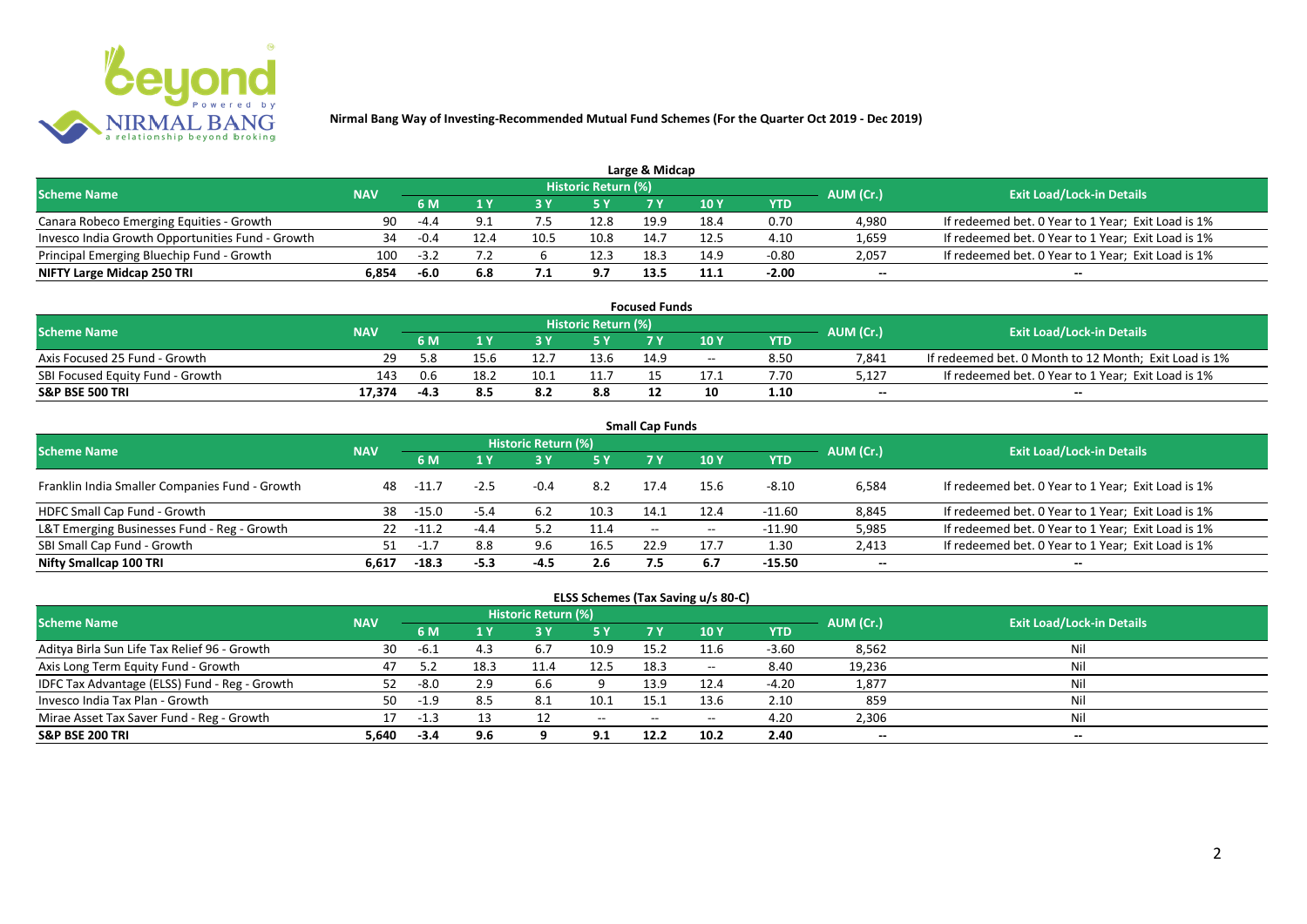

| Large & Midcap                                   |            |        |     |      |                            |      |      |         |           |                                                    |  |  |  |
|--------------------------------------------------|------------|--------|-----|------|----------------------------|------|------|---------|-----------|----------------------------------------------------|--|--|--|
| <b>Scheme Name</b>                               | <b>NAV</b> |        |     |      | <b>Historic Return (%)</b> |      |      |         | AUM (Cr.) | <b>Exit Load/Lock-in Details</b>                   |  |  |  |
|                                                  |            | 6 M    |     |      | 5 Y                        |      |      | YTD     |           |                                                    |  |  |  |
| Canara Robeco Emerging Equities - Growth         | 90         | -44    |     |      | 12.8                       | 19.9 | 18.4 | 0.70    | 4.980     | If redeemed bet. 0 Year to 1 Year; Exit Load is 1% |  |  |  |
| Invesco India Growth Opportunities Fund - Growth |            |        |     | 10.1 | 10.8                       | 14.7 | 12.5 | 4.10    | 1,659     | If redeemed bet. 0 Year to 1 Year; Exit Load is 1% |  |  |  |
| Principal Emerging Bluechip Fund - Growth        | 100        | $-3.7$ |     |      | 12.3                       | 18.3 | 14.9 | $-0.80$ | 2,057     | If redeemed bet. 0 Year to 1 Year; Exit Load is 1% |  |  |  |
| NIFTY Large Midcap 250 TRI                       | 6.854      | $-6.0$ | 6.8 |      | 9.7                        | 13.5 | 11.1 | $-2.00$ | $- -$     | $- -$                                              |  |  |  |

| <b>Focused Funds</b>             |            |     |      |      |                            |      |       |      |           |                                                       |  |  |
|----------------------------------|------------|-----|------|------|----------------------------|------|-------|------|-----------|-------------------------------------------------------|--|--|
| <b>Scheme Name</b>               | <b>NAV</b> |     |      |      | <b>Historic Return (%)</b> |      |       |      | AUM (Cr.) | <b>Exit Load/Lock-in Details</b>                      |  |  |
|                                  |            | 6 M |      |      | 5 Y                        |      | 10 Y  | YTD  |           |                                                       |  |  |
| Axis Focused 25 Fund - Growth    | 29.        |     | 15.6 |      | 13.6                       | 14.9 | $- -$ | 8.50 | 7,841     | If redeemed bet. 0 Month to 12 Month; Exit Load is 1% |  |  |
| SBI Focused Equity Fund - Growth | 143        | 0.6 | 18.2 | 10.1 | 11.7                       |      |       | 7.70 | 5,127     | If redeemed bet. 0 Year to 1 Year; Exit Load is 1%    |  |  |
| <b>S&amp;P BSE 500 TRI</b>       | 17.374     |     |      | 8.2  | 8.8                        |      | 10    | 1.10 | $-$       | $-$                                                   |  |  |

| <b>Small Cap Funds</b>                         |            |         |        |                     |      |                          |       |            |           |                                                    |  |  |  |
|------------------------------------------------|------------|---------|--------|---------------------|------|--------------------------|-------|------------|-----------|----------------------------------------------------|--|--|--|
| <b>Scheme Name</b>                             | <b>NAV</b> |         |        | Historic Return (%) |      |                          |       |            | AUM (Cr.) | <b>Exit Load/Lock-in Details</b>                   |  |  |  |
|                                                |            |         |        |                     | 5 Y  | 7 Y                      | 710Y  | <b>YTD</b> |           |                                                    |  |  |  |
| Franklin India Smaller Companies Fund - Growth | 48         | -11.    |        | $-0.4$              | 8.2  | 17.4                     | 15.6  | $-8.10$    | 6,584     | If redeemed bet. 0 Year to 1 Year; Exit Load is 1% |  |  |  |
| HDFC Small Cap Fund - Growth                   | 38         | $-15.0$ | $-5.4$ | 6.2                 | 10.3 | 14.1                     | 12.4  | -11.60     | 8,845     | If redeemed bet. 0 Year to 1 Year; Exit Load is 1% |  |  |  |
| L&T Emerging Businesses Fund - Reg - Growth    | 22         | $-11.2$ | $-4.4$ |                     | 11.4 | $\overline{\phantom{a}}$ | $- -$ | $-11.90$   | 5,985     | If redeemed bet. 0 Year to 1 Year; Exit Load is 1% |  |  |  |
| SBI Small Cap Fund - Growth                    | 51         |         | 8.8    | 9.6                 | 16.5 | 22.9                     | 17.7  | 1.30       | 2,413     | If redeemed bet. 0 Year to 1 Year; Exit Load is 1% |  |  |  |
| Nifty Smallcap 100 TRI                         | 6.617      | $-18.3$ | $-5.3$ | -4.5                | 2.6  |                          | 6.7   | $-15.50$   | $- -$     | --                                                 |  |  |  |

## **ELSS Schemes (Tax Saving u/s 80-C)**

| <b>Scheme Name</b>                            | <b>NAV</b> |        |      | <b>Historic Return (%)</b> |           |       |                          |         | AUM (Cr.) | <b>Exit Load/Lock-in Details</b> |
|-----------------------------------------------|------------|--------|------|----------------------------|-----------|-------|--------------------------|---------|-----------|----------------------------------|
|                                               |            | 6 M    |      |                            | <b>5Y</b> | 7 V   | <b>10Y</b>               | YTD     |           |                                  |
| Aditya Birla Sun Life Tax Relief 96 - Growth  | 30         | -6.1   |      | b.7                        | 10.9      | 15.2  | 11.6                     | $-3.60$ | 8,562     | Nil                              |
| Axis Long Term Equity Fund - Growth           | 47         |        | 18.3 | 11.4                       | 12.5      | 18.3  | $\overline{\phantom{a}}$ | 8.40    | 19,236    | Nil                              |
| IDFC Tax Advantage (ELSS) Fund - Reg - Growth |            | -8.0   | 2.9  | 6.6                        |           | 13.9  | 12.4                     | $-4.20$ | 1,877     | Nil                              |
| Invesco India Tax Plan - Growth               | 50         | $-1.9$ | 8.5  | -8.1                       | 10.1      | 15    | 13.6                     | 2.10    | 859       | Nil                              |
| Mirae Asset Tax Saver Fund - Reg - Growth     | 17         | -1.3   |      |                            | $- -$     | $- -$ | $- -$                    | 4.20    | 2,306     | Nil                              |
| <b>S&amp;P BSE 200 TRI</b>                    | 5.640      | $-3.4$ | 9.6  |                            | 9.1       | 12.2  | 10.2                     | 2.40    | $- -$     | $- -$                            |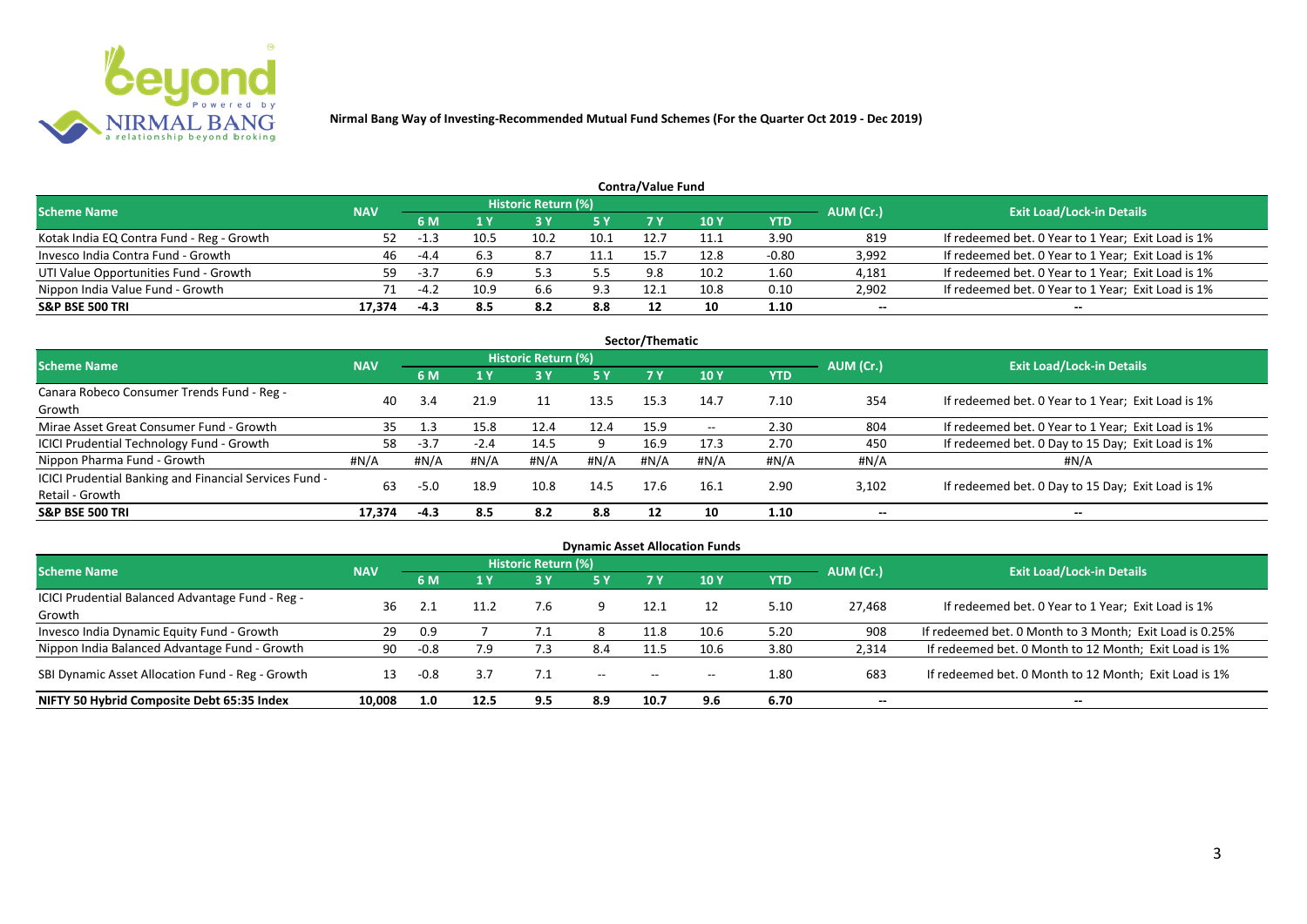

| <b>Contra/Value Fund</b>                  |            |                                        |      |                            |      |      |      |         |           |                                                    |  |  |  |
|-------------------------------------------|------------|----------------------------------------|------|----------------------------|------|------|------|---------|-----------|----------------------------------------------------|--|--|--|
| <b>Scheme Name</b>                        | <b>NAV</b> |                                        |      | <b>Historic Return (%)</b> |      |      |      |         | AUM (Cr.) | <b>Exit Load/Lock-in Details</b>                   |  |  |  |
|                                           |            | 7 V<br><b>10Y</b><br><b>5 Y</b><br>6 M |      | YTD                        |      |      |      |         |           |                                                    |  |  |  |
| Kotak India EQ Contra Fund - Reg - Growth | 52         | -1.3                                   | 10.5 | 10.2                       | 10.1 | 12.7 | 11.1 | 3.90    | 819       | If redeemed bet. 0 Year to 1 Year; Exit Load is 1% |  |  |  |
| Invesco India Contra Fund - Growth        | 46         | -4.4                                   | 6.3  | 8.7                        | 11.1 | 15.  | 12.8 | $-0.80$ | 3,992     | If redeemed bet. 0 Year to 1 Year; Exit Load is 1% |  |  |  |
| UTI Value Opportunities Fund - Growth     | 59.        | $-3.7$                                 | 6.9  |                            | 5.5  | 9.8  | 10.2 | 1.60    | 4,181     | If redeemed bet. 0 Year to 1 Year; Exit Load is 1% |  |  |  |
| Nippon India Value Fund - Growth          |            | $-4.2$                                 | 10.9 | 6.6                        | 9.3  | 12.1 | 10.8 | 0.10    | 2,902     | If redeemed bet. 0 Year to 1 Year; Exit Load is 1% |  |  |  |
| <b>S&amp;P BSE 500 TRI</b>                | 17.374     | $-4.3$                                 | 8.5  | 8.2                        | 8.8  |      | 10   | 1.10    | $- -$     | $- -$                                              |  |  |  |

| Sector/Thematic                                                           |            |        |                  |                            |      |           |            |            |           |                                                    |  |  |  |
|---------------------------------------------------------------------------|------------|--------|------------------|----------------------------|------|-----------|------------|------------|-----------|----------------------------------------------------|--|--|--|
| Scheme Name                                                               | <b>NAV</b> |        |                  | <b>Historic Return (%)</b> |      |           |            |            | AUM (Cr.) | <b>Exit Load/Lock-in Details</b>                   |  |  |  |
|                                                                           |            | 6 M    | $\overline{1}$ Y | <b>3 Y</b>                 | 5Y   | <b>7Y</b> | <b>10Y</b> | <b>YTD</b> |           |                                                    |  |  |  |
| Canara Robeco Consumer Trends Fund - Reg -<br>Growth                      | 40         | 3.4    | 21.9             | 11                         | 13.5 | 15.3      | 14.7       | 7.10       | 354       | If redeemed bet. 0 Year to 1 Year; Exit Load is 1% |  |  |  |
| Mirae Asset Great Consumer Fund - Growth                                  | 35         | 1.3    | 15.8             | 12.4                       | 12.4 | 15.9      | $- -$      | 2.30       | 804       | If redeemed bet. 0 Year to 1 Year; Exit Load is 1% |  |  |  |
| ICICI Prudential Technology Fund - Growth                                 | 58         | $-3.7$ | $-2.4$           | 14.5                       |      | 16.9      | 17.3       | 2.70       | 450       | If redeemed bet. 0 Day to 15 Day; Exit Load is 1%  |  |  |  |
| Nippon Pharma Fund - Growth                                               | #N/A       | #N/A   | #N/A             | #N/A                       | #N/A | #N/A      | #N/A       | #N/A       | #N/A      | #N/A                                               |  |  |  |
| ICICI Prudential Banking and Financial Services Fund -<br>Retail - Growth | 63         | $-5.0$ | 18.9             | 10.8                       | 14.5 | 17.6      | 16.1       | 2.90       | 3,102     | If redeemed bet. 0 Day to 15 Day; Exit Load is 1%  |  |  |  |
| <b>S&amp;P BSE 500 TRI</b>                                                | 17.374     | $-4.3$ | 8.5              | 8.2                        | 8.8  | 12        | 10         | 1.10       | $- -$     | $- -$                                              |  |  |  |

| <b>Dynamic Asset Allocation Funds</b>            |            |        |      |                            |       |                          |               |      |           |                                                         |  |  |  |
|--------------------------------------------------|------------|--------|------|----------------------------|-------|--------------------------|---------------|------|-----------|---------------------------------------------------------|--|--|--|
| <b>Scheme Name</b>                               | <b>NAV</b> |        |      | <b>Historic Return (%)</b> |       |                          |               |      | AUM (Cr.) | <b>Exit Load/Lock-in Details</b>                        |  |  |  |
|                                                  |            | 6 M    | 1 Y  | <b>3 Y</b>                 | 5 Y   | <b>7Y</b>                | $\sqrt{10}$ Y | YTD  |           |                                                         |  |  |  |
| ICICI Prudential Balanced Advantage Fund - Reg - | 36         |        | 11.2 | 7.6                        |       | 12.1                     |               | 5.10 | 27,468    | If redeemed bet. 0 Year to 1 Year; Exit Load is 1%      |  |  |  |
| Growth                                           |            |        |      |                            |       |                          |               |      |           |                                                         |  |  |  |
| Invesco India Dynamic Equity Fund - Growth       | 29         | 0.9    |      |                            |       | 11.8                     | 10.6          | 5.20 | 908       | If redeemed bet. 0 Month to 3 Month; Exit Load is 0.25% |  |  |  |
| Nippon India Balanced Advantage Fund - Growth    | 90         | $-0.8$ | 7.9  |                            | 8.4   | 11.5                     | 10.6          | 3.80 | 2,314     | If redeemed bet. 0 Month to 12 Month; Exit Load is 1%   |  |  |  |
| SBI Dynamic Asset Allocation Fund - Reg - Growth | 13         | $-0.8$ |      |                            | $- -$ | $\overline{\phantom{a}}$ | $- -$         | 1.80 | 683       | If redeemed bet. 0 Month to 12 Month; Exit Load is 1%   |  |  |  |
| NIFTY 50 Hybrid Composite Debt 65:35 Index       | 10,008     | 1.0    | 12.5 | 9.5                        | 8.9   | 10.7                     | 9.6           | 6.70 | $- -$     | $- -$                                                   |  |  |  |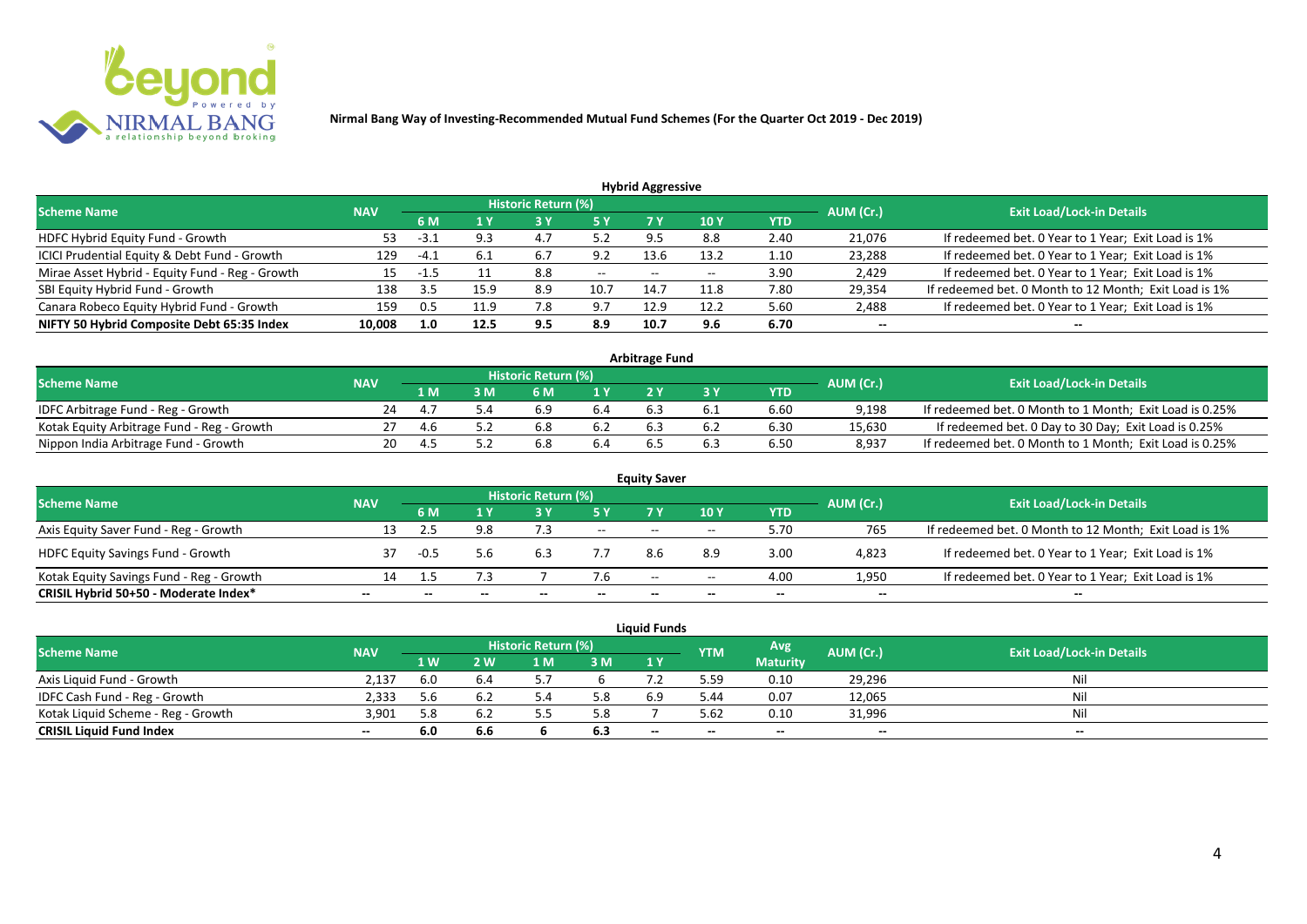

| <b>Hybrid Aggressive</b> |            |      |     |               |                            |       |            |        |                                                       |  |  |  |  |
|--------------------------|------------|------|-----|---------------|----------------------------|-------|------------|--------|-------------------------------------------------------|--|--|--|--|
|                          |            |      |     |               |                            |       |            |        | <b>Exit Load/Lock-in Details</b>                      |  |  |  |  |
|                          | 6 M        | 1 Y  |     | 5 Y           |                            | 10 Y  | <b>YTD</b> |        |                                                       |  |  |  |  |
| 53                       | ـ - ٹ      | 9.3  | 4.7 | 5.2           | 9.5                        | 8.8   | 2.40       | 21,076 | If redeemed bet. 0 Year to 1 Year; Exit Load is 1%    |  |  |  |  |
| 129                      | $-4.1$     | 6.1  | 6.7 | 9.2           | 13.6                       | 13.2  | 1.10       | 23,288 | If redeemed bet. 0 Year to 1 Year; Exit Load is 1%    |  |  |  |  |
| 15                       | -1.5       |      | 8.8 | $\sim$ $\sim$ | $- -$                      | $- -$ | 3.90       | 2,429  | If redeemed bet. 0 Year to 1 Year; Exit Load is 1%    |  |  |  |  |
| 138                      | 3.5        | 15.9 | 8.9 | 10.7          | 14.7                       | 11.8  | 7.80       | 29,354 | If redeemed bet. 0 Month to 12 Month; Exit Load is 1% |  |  |  |  |
| 159                      |            |      | 7.8 | 9.7           | 12.9                       | 12.2  | 5.60       | 2,488  | If redeemed bet. 0 Year to 1 Year; Exit Load is 1%    |  |  |  |  |
| 10,008                   | 1.0        | 12.5 | 9.5 | 8.9           | 10.7                       | 9.6   | 6.70       | $- -$  | --                                                    |  |  |  |  |
|                          | <b>NAV</b> |      |     |               | <b>Historic Return (%)</b> |       |            |        | AUM (Cr.)                                             |  |  |  |  |

| <b>Arbitrage Fund</b>                      |            |     |     |                            |                  |  |     |      |           |                                                         |  |  |  |
|--------------------------------------------|------------|-----|-----|----------------------------|------------------|--|-----|------|-----------|---------------------------------------------------------|--|--|--|
| <b>Scheme Name</b>                         | <b>NAV</b> |     |     | <b>Historic Return (%)</b> |                  |  |     |      | AUM (Cr.) | <b>Exit Load/Lock-in Details</b>                        |  |  |  |
|                                            |            | L M | : M | 6 M                        | $\overline{1}$ Y |  |     | YTD  |           |                                                         |  |  |  |
| IDFC Arbitrage Fund - Reg - Growth         | 24         |     |     | 6.9                        | 6.4              |  | b.1 | 6.60 | 9,198     | If redeemed bet. 0 Month to 1 Month; Exit Load is 0.25% |  |  |  |
| Kotak Equity Arbitrage Fund - Reg - Growth |            | 4.6 |     | 6.8                        |                  |  |     | 6.30 | 15,630    | If redeemed bet. 0 Day to 30 Day; Exit Load is 0.25%    |  |  |  |
| Nippon India Arbitrage Fund - Growth       |            |     |     | 6.8                        | 6.4              |  |     | 6.50 | 8,937     | If redeemed bet. 0 Month to 1 Month; Exit Load is 0.25% |  |  |  |

|                                          |            |      |     |                            |        | <b>Equity Saver</b> |       |            |           |                                                       |
|------------------------------------------|------------|------|-----|----------------------------|--------|---------------------|-------|------------|-----------|-------------------------------------------------------|
| <b>Scheme Name</b>                       | <b>NAV</b> |      |     | <b>Historic Return (%)</b> |        |                     |       |            | AUM (Cr.) | <b>Exit Load/Lock-in Details</b>                      |
|                                          |            | 6 M  |     |                            | 5 Y    | 7V                  | 10Y   | <b>YTD</b> |           |                                                       |
| Axis Equity Saver Fund - Reg - Growth    | 13         |      | 9.8 |                            | $  \,$ | $- -$               | $- -$ | 5.70       | 765       | If redeemed bet. 0 Month to 12 Month; Exit Load is 1% |
| <b>HDFC Equity Savings Fund - Growth</b> |            | -0.5 | 5.6 | 6.3                        |        |                     | 8.9   | 3.00       | 4,823     | If redeemed bet. 0 Year to 1 Year; Exit Load is 1%    |
| Kotak Equity Savings Fund - Reg - Growth | 14         |      |     |                            | 7.6    | $- -$               | $- -$ | 4.00       | 1,950     | If redeemed bet. 0 Year to 1 Year; Exit Load is 1%    |
| CRISIL Hybrid 50+50 - Moderate Index*    | $- -$      |      |     |                            |        | --                  | $- -$ | $- -$      | $- -$     | $- -$                                                 |

|                                    |            |     |     |                     |     | Liauid Funds             |            |                 |           |                                  |
|------------------------------------|------------|-----|-----|---------------------|-----|--------------------------|------------|-----------------|-----------|----------------------------------|
| <b>Scheme Name</b>                 | <b>NAV</b> |     |     | Historic Return (%) |     |                          | <b>YTM</b> | Avg             | AUM (Cr.) | <b>Exit Load/Lock-in Details</b> |
|                                    |            | 1 W | ! W | 1 M                 | 3 M | 1Y                       |            | <b>Maturity</b> |           |                                  |
| Axis Liquid Fund - Growth          | 2.137      | 6.0 | 6.4 |                     |     |                          | 5.59       | 0.10            | 29,296    | Nil                              |
| IDFC Cash Fund - Reg - Growth      | 2.333      | 5.6 |     |                     | 5.8 | 6.9                      | 5.44       | 0.07            | 12,065    | Nil                              |
| Kotak Liquid Scheme - Reg - Growth | 3.901      | 5.8 |     |                     | 5.8 |                          | 5.62       | 0.10            | 31,996    | Ni                               |
| <b>CRISIL Liquid Fund Index</b>    | $- -$      | 6.0 | 6.6 |                     | 6.3 | $\overline{\phantom{a}}$ | $- -$      | $-$             | $-$       | $-$                              |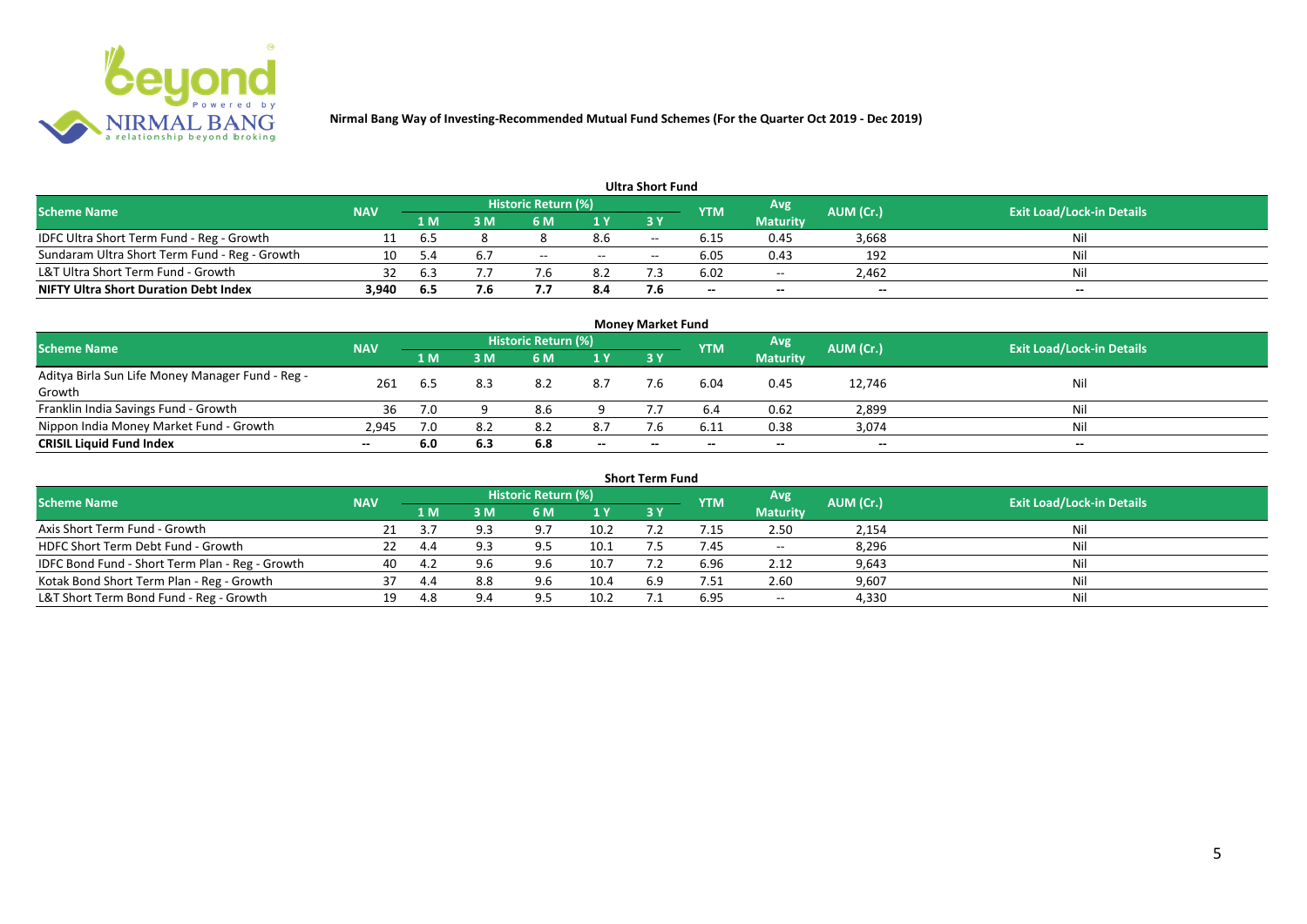

|                                               |            |     |     |                     |       | <b>Ultra Short Fund</b> |                          |                 |                          |                                  |
|-----------------------------------------------|------------|-----|-----|---------------------|-------|-------------------------|--------------------------|-----------------|--------------------------|----------------------------------|
| <b>Scheme Name</b>                            | <b>NAV</b> |     |     | Historic Return (%) |       |                         | <b>YTM</b>               | Avg             | AUM (Cr.)                | <b>Exit Load/Lock-in Details</b> |
|                                               |            | 1 M | ዩ M | 6 M                 | 1 Y   | 73 Y                    |                          | <b>Maturity</b> |                          |                                  |
| IDFC Ultra Short Term Fund - Reg - Growth     |            | 6.5 |     |                     | 8.6   | $- -$                   | 6.15                     | 0.45            | 3,668                    | Nil                              |
| Sundaram Ultra Short Term Fund - Reg - Growth | 10         |     |     | $- -$               | $- -$ | $- -$                   | 6.05                     | 0.43            | 192                      | Nil                              |
| L&T Ultra Short Term Fund - Growth            |            | b.3 |     | $\mathbf{b}$        | 8.2   |                         | 6.02                     | $\sim$ $\sim$   | 2.462                    | Nil                              |
| <b>NIFTY Ultra Short Duration Debt Index</b>  | 3,940      | 6.5 | 7.6 |                     | 8.4   |                         | $\overline{\phantom{a}}$ | $-$             | $\overline{\phantom{a}}$ | $-$                              |

|                                                            |            |     |     |                            |                          | <b>Money Market Fund</b> |            |                 |           |                                  |
|------------------------------------------------------------|------------|-----|-----|----------------------------|--------------------------|--------------------------|------------|-----------------|-----------|----------------------------------|
| <b>Scheme Name</b>                                         | <b>NAV</b> |     |     | <b>Historic Return (%)</b> |                          |                          | <b>YTM</b> | Avg             | AUM (Cr.) | <b>Exit Load/Lock-in Details</b> |
|                                                            |            | 1 M | 3 M | <b>6 M</b>                 | 1Y                       | 3Y                       |            | <b>Maturity</b> |           |                                  |
| Aditya Birla Sun Life Money Manager Fund - Reg -<br>Growth | 261        | 6.5 |     | 8.2                        | 8.7                      | 7.6                      | 6.04       | 0.45            | 12,746    | Nil                              |
| Franklin India Savings Fund - Growth                       | 36         | 7.0 |     | 8.6                        |                          |                          |            | 0.62            | 2,899     | Nil                              |
| Nippon India Money Market Fund - Growth                    | 2,945      | 7.0 |     | 8.2                        | 8.7                      | 7.6                      | 6.11       | 0.38            | 3,074     | Nil                              |
| <b>CRISIL Liquid Fund Index</b>                            | $- -$      | 6.0 | 6.3 | 6.8                        | $\overline{\phantom{a}}$ | $-$                      |            | $- -$           | $- -$     | $- -$                            |

|                                                 |            |      |     |                     |      | <b>Short Term Fund</b> |            |                 |           |                                  |
|-------------------------------------------------|------------|------|-----|---------------------|------|------------------------|------------|-----------------|-----------|----------------------------------|
| <b>Scheme Name</b>                              | <b>NAV</b> |      |     | Historic Return (%) |      |                        | <b>YTM</b> | Avg             | AUM (Cr.) | <b>Exit Load/Lock-in Details</b> |
|                                                 |            | 1 M. | 3 M | 6 M                 | 1Y   | <b>3 Y</b>             |            | <b>Maturity</b> |           |                                  |
| Axis Short Term Fund - Growth                   |            |      | 9.3 | 9.7                 | 10.2 |                        |            | 2.50            | 2,154     | Nil                              |
| HDFC Short Term Debt Fund - Growth              |            | 4.4  |     | 9.5                 | 10.1 |                        | 7.45       | $- -$           | 8,296     | Nil                              |
| IDFC Bond Fund - Short Term Plan - Reg - Growth | 40         | 4.2  |     | 9.6                 | 10.7 |                        | 6.96       | 2.12            | 9,643     | Nil                              |
| Kotak Bond Short Term Plan - Reg - Growth       | 37         | 4.4  | 8.8 | 9.6                 | 10.4 | 6.9                    | 7.51       | 2.60            | 9,607     | Nil                              |
| L&T Short Term Bond Fund - Reg - Growth         |            | 4.8  | 9.4 | $Q$ 5               | 10.2 |                        | 6.95       | $- -$           | 4,330     | Nil                              |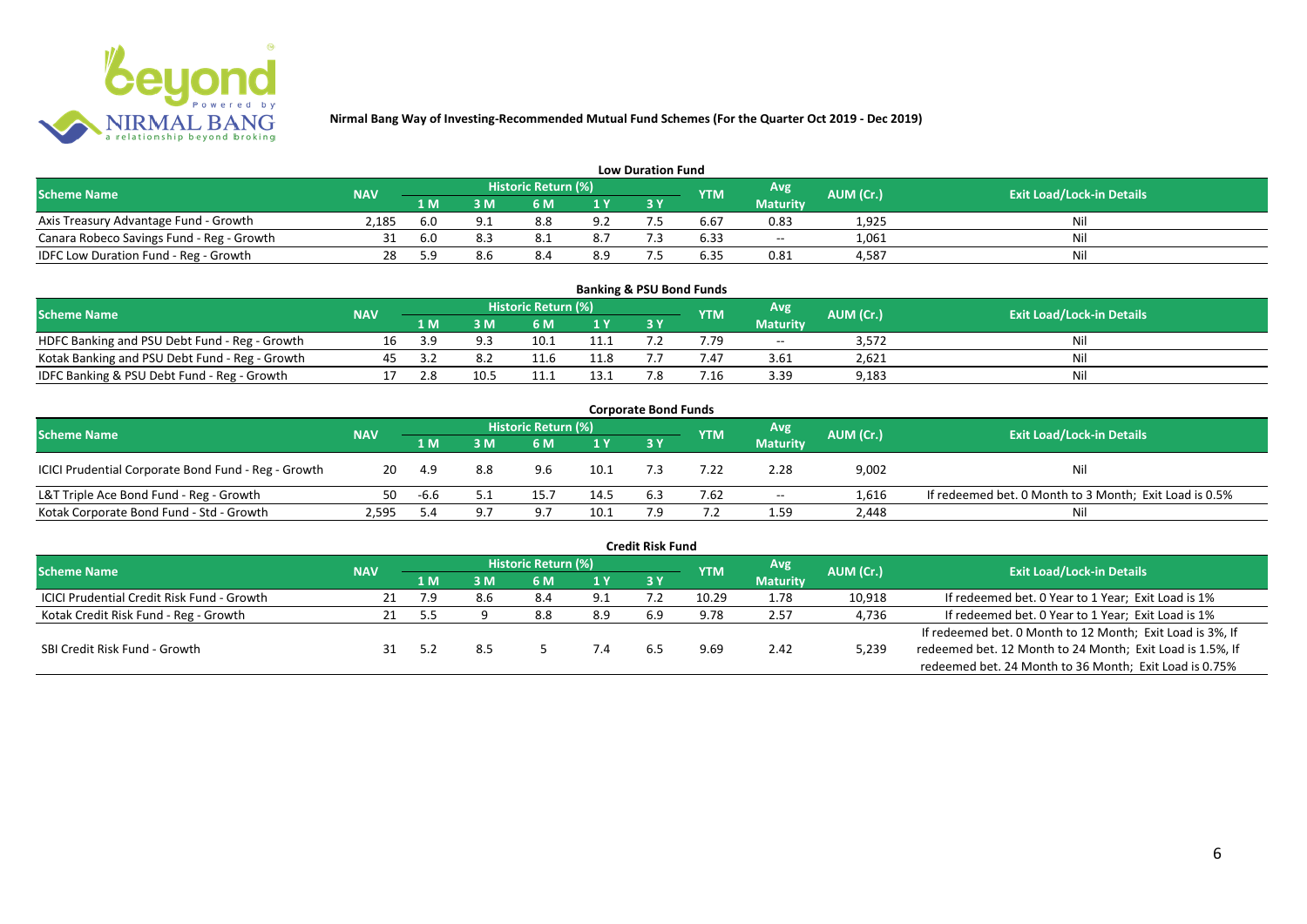

|                                           |                                                                      |     |                                  |     |     | <b>Low Duration Fund</b> |      |                 |       |     |
|-------------------------------------------|----------------------------------------------------------------------|-----|----------------------------------|-----|-----|--------------------------|------|-----------------|-------|-----|
| <b>Scheme Name</b>                        | Historic Return (%)<br>Avg'<br>AUM (Cr.)<br><b>NAV</b><br><b>YTM</b> |     | <b>Exit Load/Lock-in Details</b> |     |     |                          |      |                 |       |     |
|                                           |                                                                      | 1 M | 3 M                              | 6 M | 1 Y | 3 Y                      |      | <b>Maturity</b> |       |     |
| Axis Treasury Advantage Fund - Growth     | 2.185                                                                | 6.0 |                                  | 8.8 | 9.2 |                          | b.b  | 0.83            | 1,925 | Nil |
| Canara Robeco Savings Fund - Reg - Growth |                                                                      | 6.0 |                                  |     | 8.7 |                          | 6.33 | $- -$           | 1,061 | Nil |
| IDFC Low Duration Fund - Reg - Growth     |                                                                      | 59  |                                  | 8.4 | 8.9 |                          | 6.35 | 0.81            | 4,587 | Nil |

| <b>Banking &amp; PSU Bond Funds</b>            |            |     |      |                            |      |     |            |                 |           |                                  |  |  |  |  |
|------------------------------------------------|------------|-----|------|----------------------------|------|-----|------------|-----------------|-----------|----------------------------------|--|--|--|--|
| Scheme Name                                    | <b>NAV</b> |     |      | <b>Historic Return (%)</b> |      |     | <b>YTM</b> | Avg             | AUM (Cr.) | <b>Exit Load/Lock-in Details</b> |  |  |  |  |
|                                                |            | 1 M | : M  |                            |      | 3 Y |            | <b>Maturity</b> |           |                                  |  |  |  |  |
| HDFC Banking and PSU Debt Fund - Reg - Growth  |            |     |      |                            |      |     | 7.79       | $- -$           | 3.572     | Nil                              |  |  |  |  |
| Kotak Banking and PSU Debt Fund - Reg - Growth |            |     |      |                            | 11.8 |     |            | 3.61            | 2.621     | Nil                              |  |  |  |  |
| IDFC Banking & PSU Debt Fund - Reg - Growth    |            | 2.8 | 10.5 |                            |      |     | '.16       | 3.39            | 9,183     | Nil                              |  |  |  |  |

| <b>Corporate Bond Funds</b>                         |            |      |                                   |      |                |     |      |                 |           |                                                        |  |  |  |
|-----------------------------------------------------|------------|------|-----------------------------------|------|----------------|-----|------|-----------------|-----------|--------------------------------------------------------|--|--|--|
| <b>Scheme Name</b>                                  | <b>NAV</b> |      | Historic Return (%)<br>Avg<br>YTM |      |                |     |      |                 | AUM (Cr.) | <b>Exit Load/Lock-in Details</b>                       |  |  |  |
|                                                     |            | 1 M  | I M                               | 6 M  | 1 <sub>Y</sub> | 3 Y |      | <b>Maturity</b> |           |                                                        |  |  |  |
| ICICI Prudential Corporate Bond Fund - Reg - Growth | 20         | -4.9 | 8.8                               | 9.6  | 10.1           |     | 7.22 | 2.28            | 9,002     | Nil                                                    |  |  |  |
| L&T Triple Ace Bond Fund - Reg - Growth             | 50.        | -6.6 |                                   | 15.7 | 14.5           | 6.3 | 7.62 | $- -$           | 1,616     | If redeemed bet. 0 Month to 3 Month; Exit Load is 0.5% |  |  |  |
| Kotak Corporate Bond Fund - Std - Growth            | 2.595      |      |                                   | a.   | 10.1           |     |      | 1.59            | 2,448     | Nil                                                    |  |  |  |

|                                            |            |     |     |                            |     | <b>Credit Risk Fund</b> |            |                 |           |                                                           |
|--------------------------------------------|------------|-----|-----|----------------------------|-----|-------------------------|------------|-----------------|-----------|-----------------------------------------------------------|
| <b>Scheme Name</b>                         | <b>NAV</b> |     |     | <b>Historic Return (%)</b> |     |                         | <b>YTM</b> | Avg.            | AUM (Cr.) | <b>Exit Load/Lock-in Details</b>                          |
|                                            |            | 1 M | 3 M | 6 M                        | 1 Y | 3Y                      |            | <b>Maturity</b> |           |                                                           |
| ICICI Prudential Credit Risk Fund - Growth | 21         | 7.9 | 8.6 | 8.4                        | 9.1 |                         | 10.29      | 1.78            | 10,918    | If redeemed bet. 0 Year to 1 Year; Exit Load is 1%        |
| Kotak Credit Risk Fund - Reg - Growth      |            | 5.5 |     | 8.8                        | 8.9 | 6.9                     | 9.78       | 2.57            | 4,736     | If redeemed bet. 0 Year to 1 Year; Exit Load is 1%        |
|                                            |            |     |     |                            |     |                         |            |                 |           | If redeemed bet. 0 Month to 12 Month; Exit Load is 3%, If |
| SBI Credit Risk Fund - Growth              |            |     |     |                            |     | 6.5                     | 9.69       | 2.42            | 5,239     | redeemed bet. 12 Month to 24 Month; Exit Load is 1.5%, If |
|                                            |            |     |     |                            |     |                         |            |                 |           | redeemed bet. 24 Month to 36 Month; Exit Load is 0.75%    |